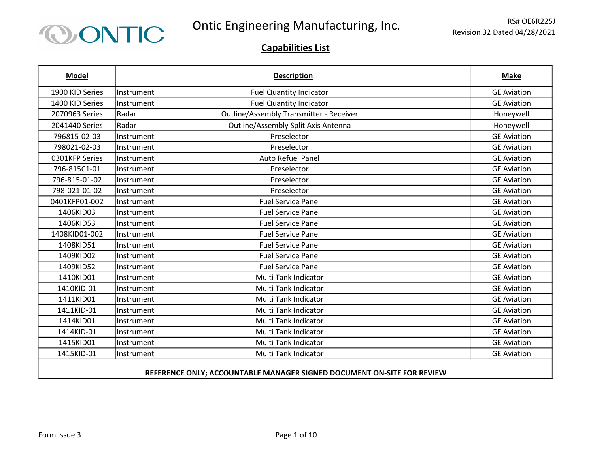

| <b>Model</b>    |            | <b>Description</b>                      | <b>Make</b>        |
|-----------------|------------|-----------------------------------------|--------------------|
| 1900 KID Series | Instrument | <b>Fuel Quantity Indicator</b>          | <b>GE Aviation</b> |
| 1400 KID Series | Instrument | <b>Fuel Quantity Indicator</b>          | <b>GE Aviation</b> |
| 2070963 Series  | Radar      | Outline/Assembly Transmitter - Receiver | Honeywell          |
| 2041440 Series  | Radar      | Outline/Assembly Split Axis Antenna     | Honeywell          |
| 796815-02-03    | Instrument | Preselector                             | <b>GE Aviation</b> |
| 798021-02-03    | Instrument | Preselector                             | <b>GE Aviation</b> |
| 0301KFP Series  | Instrument | <b>Auto Refuel Panel</b>                | <b>GE Aviation</b> |
| 796-815C1-01    | Instrument | Preselector                             | <b>GE Aviation</b> |
| 796-815-01-02   | Instrument | Preselector                             | <b>GE Aviation</b> |
| 798-021-01-02   | Instrument | Preselector                             | <b>GE Aviation</b> |
| 0401KFP01-002   | Instrument | <b>Fuel Service Panel</b>               | <b>GE Aviation</b> |
| 1406KID03       | Instrument | <b>Fuel Service Panel</b>               | <b>GE Aviation</b> |
| 1406KID53       | Instrument | <b>Fuel Service Panel</b>               | <b>GE Aviation</b> |
| 1408KID01-002   | Instrument | <b>Fuel Service Panel</b>               | <b>GE Aviation</b> |
| 1408KID51       | Instrument | <b>Fuel Service Panel</b>               | <b>GE Aviation</b> |
| 1409KID02       | Instrument | <b>Fuel Service Panel</b>               | <b>GE Aviation</b> |
| 1409KID52       | Instrument | <b>Fuel Service Panel</b>               | <b>GE Aviation</b> |
| 1410KID01       | Instrument | Multi Tank Indicator                    | <b>GE Aviation</b> |
| 1410KID-01      | Instrument | <b>Multi Tank Indicator</b>             | <b>GE Aviation</b> |
| 1411KID01       | Instrument | <b>Multi Tank Indicator</b>             | <b>GE Aviation</b> |
| 1411KID-01      | Instrument | Multi Tank Indicator                    | <b>GE Aviation</b> |
| 1414KID01       | Instrument | <b>Multi Tank Indicator</b>             | <b>GE Aviation</b> |
| 1414KID-01      | Instrument | Multi Tank Indicator                    | <b>GE Aviation</b> |
| 1415KID01       | Instrument | Multi Tank Indicator                    | <b>GE Aviation</b> |
| 1415KID-01      | Instrument | Multi Tank Indicator                    | <b>GE Aviation</b> |
|                 |            |                                         |                    |

### REFERENCE ONLY; ACCOUNTABLE MANAGER SIGNED DOCUMENT ON-SITE FOR REVIEW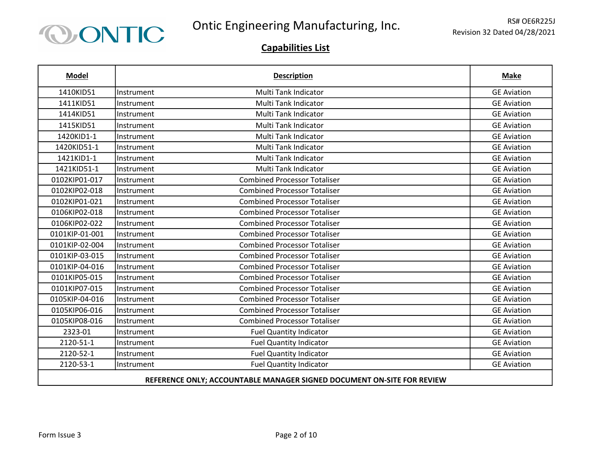

| <b>Model</b>                                                           |            | <b>Description</b>                  | <b>Make</b>        |
|------------------------------------------------------------------------|------------|-------------------------------------|--------------------|
| 1410KID51                                                              | Instrument | Multi Tank Indicator                | <b>GE Aviation</b> |
| 1411KID51                                                              | Instrument | Multi Tank Indicator                | <b>GE Aviation</b> |
| 1414KID51                                                              | Instrument | Multi Tank Indicator                | <b>GE Aviation</b> |
| 1415KID51                                                              | Instrument | Multi Tank Indicator                | <b>GE Aviation</b> |
| 1420KID1-1                                                             | Instrument | <b>Multi Tank Indicator</b>         | <b>GE Aviation</b> |
| 1420KID51-1                                                            | Instrument | Multi Tank Indicator                | <b>GE Aviation</b> |
| 1421KID1-1                                                             | Instrument | Multi Tank Indicator                | <b>GE Aviation</b> |
| 1421KID51-1                                                            | Instrument | Multi Tank Indicator                | <b>GE Aviation</b> |
| 0102KIP01-017                                                          | Instrument | <b>Combined Processor Totaliser</b> | <b>GE Aviation</b> |
| 0102KIP02-018                                                          | Instrument | <b>Combined Processor Totaliser</b> | <b>GE Aviation</b> |
| 0102KIP01-021                                                          | Instrument | <b>Combined Processor Totaliser</b> | <b>GE Aviation</b> |
| 0106KIP02-018                                                          | Instrument | <b>Combined Processor Totaliser</b> | <b>GE Aviation</b> |
| 0106KIP02-022                                                          | Instrument | <b>Combined Processor Totaliser</b> | <b>GE Aviation</b> |
| 0101KIP-01-001                                                         | Instrument | <b>Combined Processor Totaliser</b> | <b>GE Aviation</b> |
| 0101KIP-02-004                                                         | Instrument | <b>Combined Processor Totaliser</b> | <b>GE Aviation</b> |
| 0101KIP-03-015                                                         | Instrument | <b>Combined Processor Totaliser</b> | <b>GE Aviation</b> |
| 0101KIP-04-016                                                         | Instrument | <b>Combined Processor Totaliser</b> | <b>GE Aviation</b> |
| 0101KIP05-015                                                          | Instrument | <b>Combined Processor Totaliser</b> | <b>GE Aviation</b> |
| 0101KIP07-015                                                          | Instrument | <b>Combined Processor Totaliser</b> | <b>GE Aviation</b> |
| 0105KIP-04-016                                                         | Instrument | <b>Combined Processor Totaliser</b> | <b>GE Aviation</b> |
| 0105KIP06-016                                                          | Instrument | <b>Combined Processor Totaliser</b> | <b>GE Aviation</b> |
| 0105KIP08-016                                                          | Instrument | <b>Combined Processor Totaliser</b> | <b>GE Aviation</b> |
| 2323-01                                                                | Instrument | <b>Fuel Quantity Indicator</b>      | <b>GE Aviation</b> |
| 2120-51-1                                                              | Instrument | Fuel Quantity Indicator             | <b>GE Aviation</b> |
| 2120-52-1                                                              | Instrument | <b>Fuel Quantity Indicator</b>      | <b>GE Aviation</b> |
| 2120-53-1                                                              | Instrument | <b>Fuel Quantity Indicator</b>      | <b>GE Aviation</b> |
| REFERENCE ONLY; ACCOUNTABLE MANAGER SIGNED DOCUMENT ON-SITE FOR REVIEW |            |                                     |                    |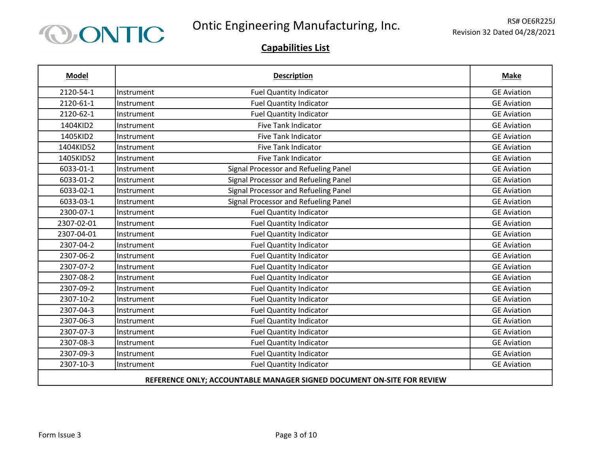

| <b>Model</b>                                                           |            | <b>Description</b>                   | <b>Make</b>        |
|------------------------------------------------------------------------|------------|--------------------------------------|--------------------|
| 2120-54-1                                                              | Instrument | <b>Fuel Quantity Indicator</b>       | <b>GE Aviation</b> |
| 2120-61-1                                                              | Instrument | <b>Fuel Quantity Indicator</b>       | <b>GE Aviation</b> |
| 2120-62-1                                                              | Instrument | <b>Fuel Quantity Indicator</b>       | <b>GE Aviation</b> |
| 1404KID2                                                               | Instrument | <b>Five Tank Indicator</b>           | <b>GE Aviation</b> |
| 1405KID2                                                               | Instrument | <b>Five Tank Indicator</b>           | <b>GE Aviation</b> |
| 1404KID52                                                              | Instrument | <b>Five Tank Indicator</b>           | <b>GE Aviation</b> |
| 1405KID52                                                              | Instrument | <b>Five Tank Indicator</b>           | <b>GE Aviation</b> |
| 6033-01-1                                                              | Instrument | Signal Processor and Refueling Panel | <b>GE Aviation</b> |
| 6033-01-2                                                              | Instrument | Signal Processor and Refueling Panel | <b>GE Aviation</b> |
| 6033-02-1                                                              | Instrument | Signal Processor and Refueling Panel | <b>GE Aviation</b> |
| 6033-03-1                                                              | Instrument | Signal Processor and Refueling Panel | <b>GE Aviation</b> |
| 2300-07-1                                                              | Instrument | <b>Fuel Quantity Indicator</b>       | <b>GE Aviation</b> |
| 2307-02-01                                                             | Instrument | <b>Fuel Quantity Indicator</b>       | <b>GE Aviation</b> |
| 2307-04-01                                                             | Instrument | <b>Fuel Quantity Indicator</b>       | <b>GE Aviation</b> |
| 2307-04-2                                                              | Instrument | <b>Fuel Quantity Indicator</b>       | <b>GE Aviation</b> |
| 2307-06-2                                                              | Instrument | <b>Fuel Quantity Indicator</b>       | <b>GE Aviation</b> |
| 2307-07-2                                                              | Instrument | <b>Fuel Quantity Indicator</b>       | <b>GE Aviation</b> |
| 2307-08-2                                                              | Instrument | <b>Fuel Quantity Indicator</b>       | <b>GE Aviation</b> |
| 2307-09-2                                                              | Instrument | <b>Fuel Quantity Indicator</b>       | <b>GE Aviation</b> |
| 2307-10-2                                                              | Instrument | <b>Fuel Quantity Indicator</b>       | <b>GE Aviation</b> |
| 2307-04-3                                                              | Instrument | <b>Fuel Quantity Indicator</b>       | <b>GE Aviation</b> |
| 2307-06-3                                                              | Instrument | <b>Fuel Quantity Indicator</b>       | <b>GE Aviation</b> |
| 2307-07-3                                                              | Instrument | <b>Fuel Quantity Indicator</b>       | <b>GE Aviation</b> |
| 2307-08-3                                                              | Instrument | <b>Fuel Quantity Indicator</b>       | <b>GE Aviation</b> |
| 2307-09-3                                                              | Instrument | <b>Fuel Quantity Indicator</b>       | <b>GE Aviation</b> |
| 2307-10-3                                                              | Instrument | <b>Fuel Quantity Indicator</b>       | <b>GE Aviation</b> |
| REFERENCE ONLY; ACCOUNTABLE MANAGER SIGNED DOCUMENT ON-SITE FOR REVIEW |            |                                      |                    |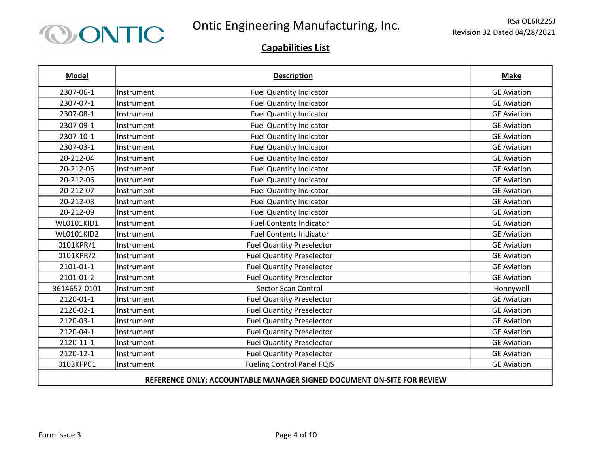

| <b>Model</b>                                                           |            | <b>Description</b>                | <b>Make</b>        |
|------------------------------------------------------------------------|------------|-----------------------------------|--------------------|
| 2307-06-1                                                              | Instrument | <b>Fuel Quantity Indicator</b>    | <b>GE Aviation</b> |
| 2307-07-1                                                              | Instrument | <b>Fuel Quantity Indicator</b>    | <b>GE Aviation</b> |
| 2307-08-1                                                              | Instrument | <b>Fuel Quantity Indicator</b>    | <b>GE Aviation</b> |
| 2307-09-1                                                              | Instrument | <b>Fuel Quantity Indicator</b>    | <b>GE Aviation</b> |
| 2307-10-1                                                              | Instrument | <b>Fuel Quantity Indicator</b>    | <b>GE Aviation</b> |
| 2307-03-1                                                              | Instrument | <b>Fuel Quantity Indicator</b>    | <b>GE Aviation</b> |
| 20-212-04                                                              | Instrument | <b>Fuel Quantity Indicator</b>    | <b>GE Aviation</b> |
| 20-212-05                                                              | Instrument | <b>Fuel Quantity Indicator</b>    | <b>GE Aviation</b> |
| 20-212-06                                                              | Instrument | <b>Fuel Quantity Indicator</b>    | <b>GE Aviation</b> |
| 20-212-07                                                              | Instrument | <b>Fuel Quantity Indicator</b>    | <b>GE Aviation</b> |
| 20-212-08                                                              | Instrument | <b>Fuel Quantity Indicator</b>    | <b>GE Aviation</b> |
| 20-212-09                                                              | Instrument | <b>Fuel Quantity Indicator</b>    | <b>GE Aviation</b> |
| WL0101KID1                                                             | Instrument | <b>Fuel Contents Indicator</b>    | <b>GE Aviation</b> |
| <b>WL0101KID2</b>                                                      | Instrument | <b>Fuel Contents Indicator</b>    | <b>GE Aviation</b> |
| 0101KPR/1                                                              | Instrument | <b>Fuel Quantity Preselector</b>  | <b>GE Aviation</b> |
| 0101KPR/2                                                              | Instrument | <b>Fuel Quantity Preselector</b>  | <b>GE Aviation</b> |
| 2101-01-1                                                              | Instrument | <b>Fuel Quantity Preselector</b>  | <b>GE Aviation</b> |
| 2101-01-2                                                              | Instrument | <b>Fuel Quantity Preselector</b>  | <b>GE Aviation</b> |
| 3614657-0101                                                           | Instrument | <b>Sector Scan Control</b>        | Honeywell          |
| 2120-01-1                                                              | Instrument | <b>Fuel Quantity Preselector</b>  | <b>GE Aviation</b> |
| 2120-02-1                                                              | Instrument | <b>Fuel Quantity Preselector</b>  | <b>GE Aviation</b> |
| 2120-03-1                                                              | Instrument | <b>Fuel Quantity Preselector</b>  | <b>GE Aviation</b> |
| 2120-04-1                                                              | Instrument | <b>Fuel Quantity Preselector</b>  | <b>GE Aviation</b> |
| 2120-11-1                                                              | Instrument | <b>Fuel Quantity Preselector</b>  | <b>GE Aviation</b> |
| 2120-12-1                                                              | Instrument | <b>Fuel Quantity Preselector</b>  | <b>GE Aviation</b> |
| 0103KFP01                                                              | Instrument | <b>Fueling Control Panel FQIS</b> | <b>GE Aviation</b> |
| REFERENCE ONLY; ACCOUNTABLE MANAGER SIGNED DOCUMENT ON-SITE FOR REVIEW |            |                                   |                    |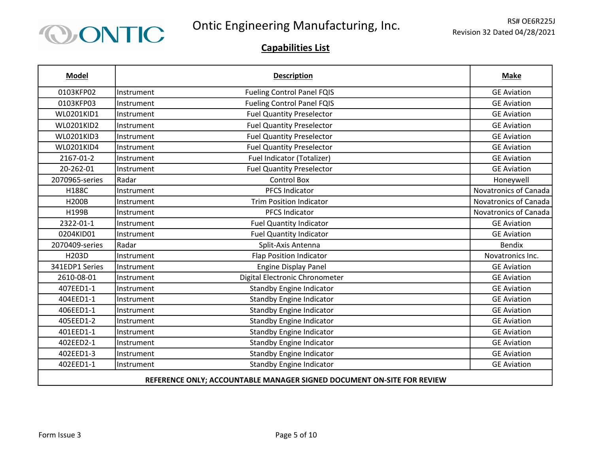

| <b>Model</b>                                                           |            | <b>Description</b>                | <b>Make</b>           |
|------------------------------------------------------------------------|------------|-----------------------------------|-----------------------|
| 0103KFP02                                                              | Instrument | <b>Fueling Control Panel FQIS</b> | <b>GE Aviation</b>    |
| 0103KFP03                                                              | Instrument | <b>Fueling Control Panel FQIS</b> | <b>GE Aviation</b>    |
| <b>WL0201KID1</b>                                                      | Instrument | <b>Fuel Quantity Preselector</b>  | <b>GE Aviation</b>    |
| <b>WL0201KID2</b>                                                      | Instrument | <b>Fuel Quantity Preselector</b>  | <b>GE Aviation</b>    |
| <b>WL0201KID3</b>                                                      | Instrument | <b>Fuel Quantity Preselector</b>  | <b>GE Aviation</b>    |
| <b>WL0201KID4</b>                                                      | Instrument | <b>Fuel Quantity Preselector</b>  | <b>GE Aviation</b>    |
| 2167-01-2                                                              | Instrument | Fuel Indicator (Totalizer)        | <b>GE Aviation</b>    |
| 20-262-01                                                              | Instrument | <b>Fuel Quantity Preselector</b>  | <b>GE Aviation</b>    |
| 2070965-series                                                         | Radar      | <b>Control Box</b>                | Honeywell             |
| <b>H188C</b>                                                           | Instrument | <b>PFCS Indicator</b>             | Novatronics of Canada |
| <b>H200B</b>                                                           | Instrument | <b>Trim Position Indicator</b>    | Novatronics of Canada |
| H199B                                                                  | Instrument | <b>PFCS Indicator</b>             | Novatronics of Canada |
| 2322-01-1                                                              | Instrument | <b>Fuel Quantity Indicator</b>    | <b>GE Aviation</b>    |
| 0204KID01                                                              | Instrument | <b>Fuel Quantity Indicator</b>    | <b>GE Aviation</b>    |
| 2070409-series                                                         | Radar      | Split-Axis Antenna                | <b>Bendix</b>         |
| H203D                                                                  | Instrument | <b>Flap Position Indicator</b>    | Novatronics Inc.      |
| 341EDP1 Series                                                         | Instrument | <b>Engine Display Panel</b>       | <b>GE Aviation</b>    |
| 2610-08-01                                                             | Instrument | Digital Electronic Chronometer    | <b>GE Aviation</b>    |
| 407EED1-1                                                              | Instrument | <b>Standby Engine Indicator</b>   | <b>GE Aviation</b>    |
| 404EED1-1                                                              | Instrument | <b>Standby Engine Indicator</b>   | <b>GE Aviation</b>    |
| 406EED1-1                                                              | Instrument | <b>Standby Engine Indicator</b>   | <b>GE Aviation</b>    |
| 405EED1-2                                                              | Instrument | <b>Standby Engine Indicator</b>   | <b>GE Aviation</b>    |
| 401EED1-1                                                              | Instrument | <b>Standby Engine Indicator</b>   | <b>GE Aviation</b>    |
| 402EED2-1                                                              | Instrument | <b>Standby Engine Indicator</b>   | <b>GE Aviation</b>    |
| 402EED1-3                                                              | Instrument | <b>Standby Engine Indicator</b>   | <b>GE Aviation</b>    |
| 402EED1-1                                                              | Instrument | <b>Standby Engine Indicator</b>   | <b>GE Aviation</b>    |
| REFERENCE ONLY; ACCOUNTABLE MANAGER SIGNED DOCUMENT ON-SITE FOR REVIEW |            |                                   |                       |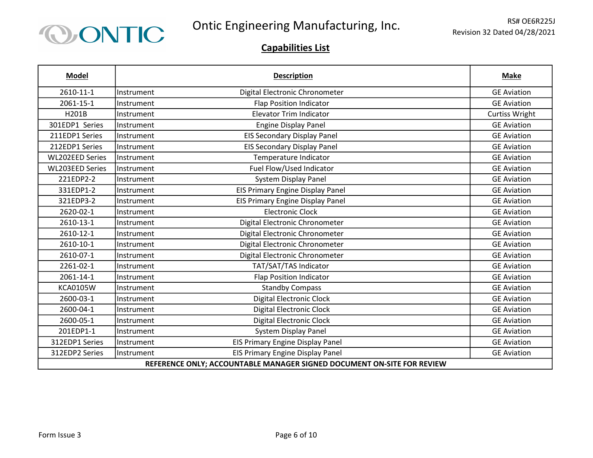

| <b>Model</b>                                                           |            | <b>Description</b>                      | <b>Make</b>           |
|------------------------------------------------------------------------|------------|-----------------------------------------|-----------------------|
| 2610-11-1                                                              | Instrument | Digital Electronic Chronometer          | <b>GE Aviation</b>    |
| 2061-15-1                                                              | Instrument | <b>Flap Position Indicator</b>          | <b>GE Aviation</b>    |
| H201B                                                                  | Instrument | <b>Elevator Trim Indicator</b>          | <b>Curtiss Wright</b> |
| 301EDP1 Series                                                         | Instrument | <b>Engine Display Panel</b>             | <b>GE Aviation</b>    |
| 211EDP1 Series                                                         | Instrument | <b>EIS Secondary Display Panel</b>      | <b>GE Aviation</b>    |
| 212EDP1 Series                                                         | Instrument | <b>EIS Secondary Display Panel</b>      | <b>GE Aviation</b>    |
| <b>WL202EED Series</b>                                                 | Instrument | Temperature Indicator                   | <b>GE Aviation</b>    |
| <b>WL203EED Series</b>                                                 | Instrument | Fuel Flow/Used Indicator                | <b>GE Aviation</b>    |
| 221EDP2-2                                                              | Instrument | <b>System Display Panel</b>             | <b>GE Aviation</b>    |
| 331EDP1-2                                                              | Instrument | <b>EIS Primary Engine Display Panel</b> | <b>GE Aviation</b>    |
| 321EDP3-2                                                              | Instrument | <b>EIS Primary Engine Display Panel</b> | <b>GE Aviation</b>    |
| 2620-02-1                                                              | Instrument | <b>Electronic Clock</b>                 | <b>GE Aviation</b>    |
| 2610-13-1                                                              | Instrument | Digital Electronic Chronometer          | <b>GE Aviation</b>    |
| 2610-12-1                                                              | Instrument | Digital Electronic Chronometer          | <b>GE Aviation</b>    |
| 2610-10-1                                                              | Instrument | Digital Electronic Chronometer          | <b>GE Aviation</b>    |
| 2610-07-1                                                              | Instrument | Digital Electronic Chronometer          | <b>GE Aviation</b>    |
| 2261-02-1                                                              | Instrument | TAT/SAT/TAS Indicator                   | <b>GE Aviation</b>    |
| 2061-14-1                                                              | Instrument | <b>Flap Position Indicator</b>          | <b>GE Aviation</b>    |
| <b>KCA0105W</b>                                                        | Instrument | <b>Standby Compass</b>                  | <b>GE Aviation</b>    |
| 2600-03-1                                                              | Instrument | <b>Digital Electronic Clock</b>         | <b>GE Aviation</b>    |
| 2600-04-1                                                              | Instrument | <b>Digital Electronic Clock</b>         | <b>GE Aviation</b>    |
| 2600-05-1                                                              | Instrument | <b>Digital Electronic Clock</b>         | <b>GE Aviation</b>    |
| 201EDP1-1                                                              | Instrument | System Display Panel                    | <b>GE Aviation</b>    |
| 312EDP1 Series                                                         | Instrument | EIS Primary Engine Display Panel        | <b>GE Aviation</b>    |
| 312EDP2 Series                                                         | Instrument | EIS Primary Engine Display Panel        | <b>GE Aviation</b>    |
| REFERENCE ONLY; ACCOUNTABLE MANAGER SIGNED DOCUMENT ON-SITE FOR REVIEW |            |                                         |                       |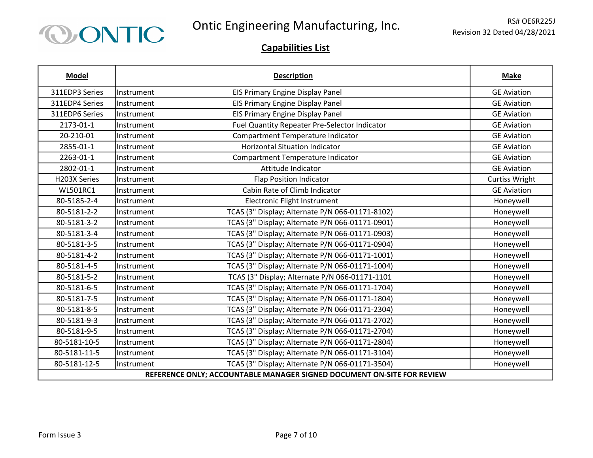

| <b>Model</b>                                                           |            | <b>Description</b>                              | <b>Make</b>           |
|------------------------------------------------------------------------|------------|-------------------------------------------------|-----------------------|
| 311EDP3 Series                                                         | Instrument | EIS Primary Engine Display Panel                | <b>GE Aviation</b>    |
| 311EDP4 Series                                                         | Instrument | <b>EIS Primary Engine Display Panel</b>         | <b>GE Aviation</b>    |
| 311EDP6 Series                                                         | Instrument | <b>EIS Primary Engine Display Panel</b>         | <b>GE Aviation</b>    |
| 2173-01-1                                                              | Instrument | Fuel Quantity Repeater Pre-Selector Indicator   | <b>GE Aviation</b>    |
| 20-210-01                                                              | Instrument | Compartment Temperature Indicator               | <b>GE Aviation</b>    |
| 2855-01-1                                                              | Instrument | <b>Horizontal Situation Indicator</b>           | <b>GE Aviation</b>    |
| 2263-01-1                                                              | Instrument | Compartment Temperature Indicator               | <b>GE Aviation</b>    |
| 2802-01-1                                                              | Instrument | Attitude Indicator                              | <b>GE Aviation</b>    |
| H203X Series                                                           | Instrument | <b>Flap Position Indicator</b>                  | <b>Curtiss Wright</b> |
| <b>WL501RC1</b>                                                        | Instrument | Cabin Rate of Climb Indicator                   | <b>GE Aviation</b>    |
| 80-5185-2-4                                                            | Instrument | <b>Electronic Flight Instrument</b>             | Honeywell             |
| 80-5181-2-2                                                            | Instrument | TCAS (3" Display; Alternate P/N 066-01171-8102) | Honeywell             |
| 80-5181-3-2                                                            | Instrument | TCAS (3" Display; Alternate P/N 066-01171-0901) | Honeywell             |
| 80-5181-3-4                                                            | Instrument | TCAS (3" Display; Alternate P/N 066-01171-0903) | Honeywell             |
| 80-5181-3-5                                                            | Instrument | TCAS (3" Display; Alternate P/N 066-01171-0904) | Honeywell             |
| 80-5181-4-2                                                            | Instrument | TCAS (3" Display; Alternate P/N 066-01171-1001) | Honeywell             |
| 80-5181-4-5                                                            | Instrument | TCAS (3" Display; Alternate P/N 066-01171-1004) | Honeywell             |
| 80-5181-5-2                                                            | Instrument | TCAS (3" Display; Alternate P/N 066-01171-1101  | Honeywell             |
| 80-5181-6-5                                                            | Instrument | TCAS (3" Display; Alternate P/N 066-01171-1704) | Honeywell             |
| 80-5181-7-5                                                            | Instrument | TCAS (3" Display; Alternate P/N 066-01171-1804) | Honeywell             |
| 80-5181-8-5                                                            | Instrument | TCAS (3" Display; Alternate P/N 066-01171-2304) | Honeywell             |
| 80-5181-9-3                                                            | Instrument | TCAS (3" Display; Alternate P/N 066-01171-2702) | Honeywell             |
| 80-5181-9-5                                                            | Instrument | TCAS (3" Display; Alternate P/N 066-01171-2704) | Honeywell             |
| 80-5181-10-5                                                           | Instrument | TCAS (3" Display; Alternate P/N 066-01171-2804) | Honeywell             |
| 80-5181-11-5                                                           | Instrument | TCAS (3" Display; Alternate P/N 066-01171-3104) | Honeywell             |
| 80-5181-12-5                                                           | Instrument | TCAS (3" Display; Alternate P/N 066-01171-3504) | Honeywell             |
| REFERENCE ONLY; ACCOUNTABLE MANAGER SIGNED DOCUMENT ON-SITE FOR REVIEW |            |                                                 |                       |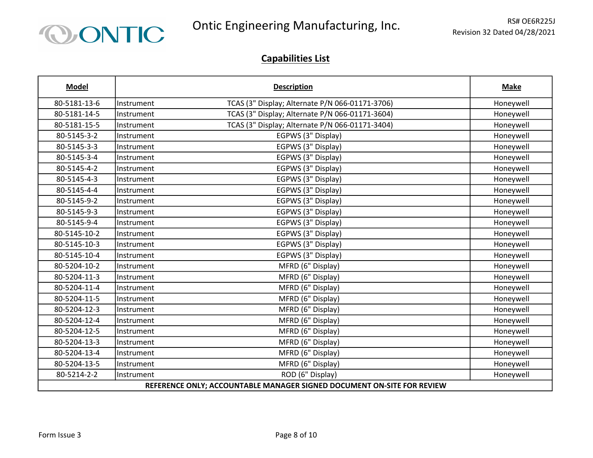

| <b>Model</b>                                                           |            | <b>Description</b>                              | <b>Make</b> |
|------------------------------------------------------------------------|------------|-------------------------------------------------|-------------|
| 80-5181-13-6                                                           | Instrument | TCAS (3" Display; Alternate P/N 066-01171-3706) | Honeywell   |
| 80-5181-14-5                                                           | Instrument | TCAS (3" Display; Alternate P/N 066-01171-3604) | Honeywell   |
| 80-5181-15-5                                                           | Instrument | TCAS (3" Display; Alternate P/N 066-01171-3404) | Honeywell   |
| 80-5145-3-2                                                            | Instrument | EGPWS (3" Display)                              | Honeywell   |
| 80-5145-3-3                                                            | Instrument | EGPWS (3" Display)                              | Honeywell   |
| 80-5145-3-4                                                            | Instrument | EGPWS (3" Display)                              | Honeywell   |
| 80-5145-4-2                                                            | Instrument | EGPWS (3" Display)                              | Honeywell   |
| 80-5145-4-3                                                            | Instrument | EGPWS (3" Display)                              | Honeywell   |
| 80-5145-4-4                                                            | Instrument | EGPWS (3" Display)                              | Honeywell   |
| 80-5145-9-2                                                            | Instrument | EGPWS (3" Display)                              | Honeywell   |
| 80-5145-9-3                                                            | Instrument | EGPWS (3" Display)                              | Honeywell   |
| 80-5145-9-4                                                            | Instrument | EGPWS (3" Display)                              | Honeywell   |
| 80-5145-10-2                                                           | Instrument | EGPWS (3" Display)                              | Honeywell   |
| 80-5145-10-3                                                           | Instrument | EGPWS (3" Display)                              | Honeywell   |
| 80-5145-10-4                                                           | Instrument | EGPWS (3" Display)                              | Honeywell   |
| 80-5204-10-2                                                           | Instrument | MFRD (6" Display)                               | Honeywell   |
| 80-5204-11-3                                                           | Instrument | MFRD (6" Display)                               | Honeywell   |
| 80-5204-11-4                                                           | Instrument | MFRD (6" Display)                               | Honeywell   |
| 80-5204-11-5                                                           | Instrument | MFRD (6" Display)                               | Honeywell   |
| 80-5204-12-3                                                           | Instrument | MFRD (6" Display)                               | Honeywell   |
| 80-5204-12-4                                                           | Instrument | MFRD (6" Display)                               | Honeywell   |
| 80-5204-12-5                                                           | Instrument | MFRD (6" Display)                               | Honeywell   |
| 80-5204-13-3                                                           | Instrument | MFRD (6" Display)                               | Honeywell   |
| 80-5204-13-4                                                           | Instrument | MFRD (6" Display)                               | Honeywell   |
| 80-5204-13-5                                                           | Instrument | MFRD (6" Display)                               | Honeywell   |
| 80-5214-2-2                                                            | Instrument | ROD (6" Display)                                | Honeywell   |
| REFERENCE ONLY; ACCOUNTABLE MANAGER SIGNED DOCUMENT ON-SITE FOR REVIEW |            |                                                 |             |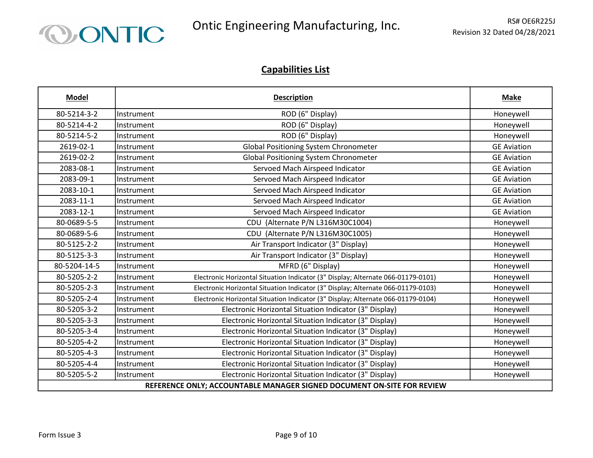

| <b>Model</b>                                                           |            | <b>Description</b>                                                               | <b>Make</b>        |
|------------------------------------------------------------------------|------------|----------------------------------------------------------------------------------|--------------------|
| 80-5214-3-2                                                            | Instrument | ROD (6" Display)                                                                 | Honeywell          |
| 80-5214-4-2                                                            | Instrument | ROD (6" Display)                                                                 | Honeywell          |
| 80-5214-5-2                                                            | Instrument | ROD (6" Display)                                                                 | Honeywell          |
| 2619-02-1                                                              | Instrument | Global Positioning System Chronometer                                            | <b>GE Aviation</b> |
| 2619-02-2                                                              | Instrument | Global Positioning System Chronometer                                            | <b>GE Aviation</b> |
| 2083-08-1                                                              | Instrument | Servoed Mach Airspeed Indicator                                                  | <b>GE Aviation</b> |
| 2083-09-1                                                              | Instrument | Servoed Mach Airspeed Indicator                                                  | <b>GE Aviation</b> |
| 2083-10-1                                                              | Instrument | Servoed Mach Airspeed Indicator                                                  | <b>GE Aviation</b> |
| 2083-11-1                                                              | Instrument | Servoed Mach Airspeed Indicator                                                  | <b>GE Aviation</b> |
| 2083-12-1                                                              | Instrument | Servoed Mach Airspeed Indicator                                                  | <b>GE Aviation</b> |
| 80-0689-5-5                                                            | Instrument | CDU (Alternate P/N L316M30C1004)                                                 | Honeywell          |
| 80-0689-5-6                                                            | Instrument | CDU (Alternate P/N L316M30C1005)                                                 | Honeywell          |
| 80-5125-2-2                                                            | Instrument | Air Transport Indicator (3" Display)                                             | Honeywell          |
| 80-5125-3-3                                                            | Instrument | Air Transport Indicator (3" Display)                                             | Honeywell          |
| 80-5204-14-5                                                           | Instrument | MFRD (6" Display)                                                                | Honeywell          |
| 80-5205-2-2                                                            | Instrument | Electronic Horizontal Situation Indicator (3" Display; Alternate 066-01179-0101) | Honeywell          |
| 80-5205-2-3                                                            | Instrument | Electronic Horizontal Situation Indicator (3" Display; Alternate 066-01179-0103) | Honeywell          |
| 80-5205-2-4                                                            | Instrument | Electronic Horizontal Situation Indicator (3" Display; Alternate 066-01179-0104) | Honeywell          |
| 80-5205-3-2                                                            | Instrument | Electronic Horizontal Situation Indicator (3" Display)                           | Honeywell          |
| 80-5205-3-3                                                            | Instrument | Electronic Horizontal Situation Indicator (3" Display)                           | Honeywell          |
| 80-5205-3-4                                                            | Instrument | Electronic Horizontal Situation Indicator (3" Display)                           | Honeywell          |
| 80-5205-4-2                                                            | Instrument | Electronic Horizontal Situation Indicator (3" Display)                           | Honeywell          |
| 80-5205-4-3                                                            | Instrument | Electronic Horizontal Situation Indicator (3" Display)                           | Honeywell          |
| 80-5205-4-4                                                            | Instrument | Electronic Horizontal Situation Indicator (3" Display)                           | Honeywell          |
| 80-5205-5-2                                                            | Instrument | Electronic Horizontal Situation Indicator (3" Display)                           | Honeywell          |
| REFERENCE ONLY; ACCOUNTABLE MANAGER SIGNED DOCUMENT ON-SITE FOR REVIEW |            |                                                                                  |                    |